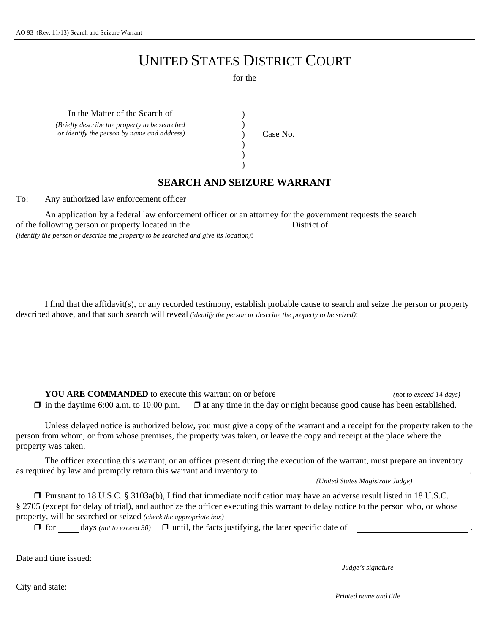## UNITED STATES DISTRICT COURT

for the

) ) ) ) )

In the Matter of the Search of (1)

*(Briefly describe the property to be searched or identify the person by name and address*) (*Case No.* 

## **SEARCH AND SEIZURE WARRANT**

To: Any authorized law enforcement officer

An application by a federal law enforcement officer or an attorney for the government requests the search of the following person or property located in the District of *(identify the person or describe the property to be searched and give its location)*:

I find that the affidavit(s), or any recorded testimony, establish probable cause to search and seize the person or property described above, and that such search will reveal *(identify the person or describe the property to be seized)*:

**YOU ARE COMMANDED** to execute this warrant on or before *(not to exceed 14 days)*  $\Box$  in the daytime 6:00 a.m. to 10:00 p.m.  $\Box$  at any time in the day or night because good cause has been established.

Unless delayed notice is authorized below, you must give a copy of the warrant and a receipt for the property taken to the person from whom, or from whose premises, the property was taken, or leave the copy and receipt at the place where the property was taken.

The officer executing this warrant, or an officer present during the execution of the warrant, must prepare an inventory as required by law and promptly return this warrant and inventory to

*(United States Magistrate Judge)*

 $\Box$  Pursuant to 18 U.S.C. § 3103a(b), I find that immediate notification may have an adverse result listed in 18 U.S.C. § 2705 (except for delay of trial), and authorize the officer executing this warrant to delay notice to the person who, or whose property, will be searched or seized *(check the appropriate box)*

 $\Box$  for days *(not to exceed 30)*  $\Box$  until, the facts justifying, the later specific date of

Date and time issued:

*Judge's signature*

City and state:

*Printed name and title*